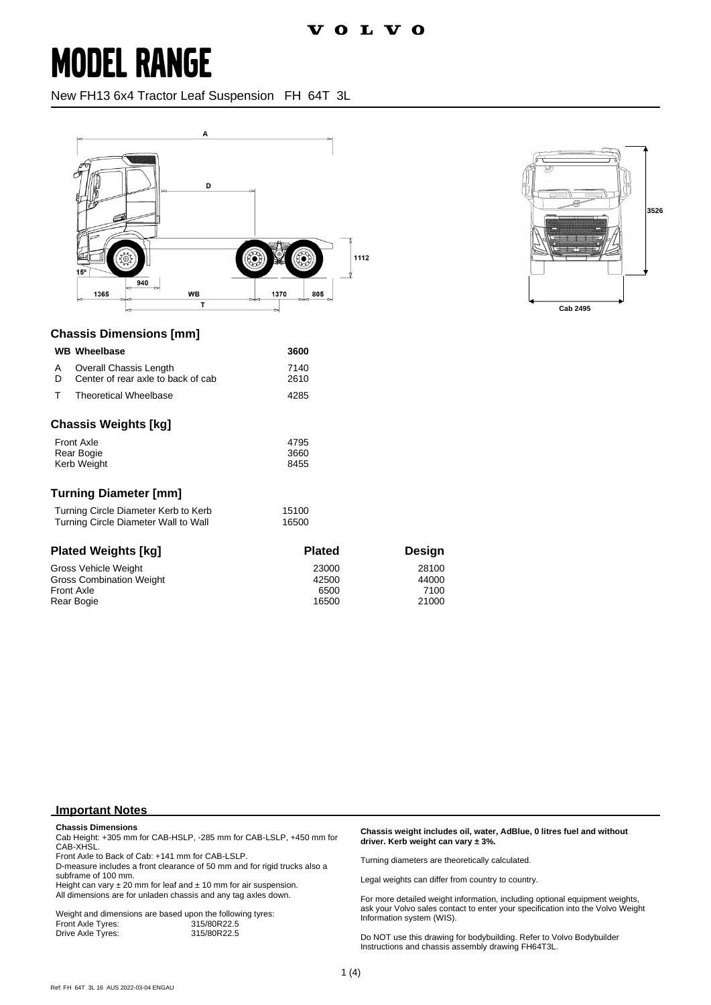New FH13 6x4 Tractor Leaf Suspension FH 64T 3L





#### **Chassis Dimensions [mm]**

|                                               | <b>WB</b> Wheelbase                                          | 3600         |  |
|-----------------------------------------------|--------------------------------------------------------------|--------------|--|
| A<br>D                                        | Overall Chassis Length<br>Center of rear axle to back of cab | 7140<br>2610 |  |
| т                                             | <b>Theoretical Wheelbase</b>                                 | 4285         |  |
|                                               | Chassis Weights [kg]                                         |              |  |
| <b>Front Axle</b><br>4795                     |                                                              |              |  |
| Rear Bogie<br>3660                            |                                                              |              |  |
| <b>Kerb Weight</b>                            |                                                              | 8455         |  |
|                                               | Turning Diameter [mm]                                        |              |  |
| Turning Circle Diameter Kerb to Kerb<br>15100 |                                                              |              |  |
| Turning Circle Diameter Wall to Wall<br>16500 |                                                              |              |  |

| <b>Plated Weights [kg]</b>      | <b>Plated</b> | Desian |
|---------------------------------|---------------|--------|
| Gross Vehicle Weight            | 23000         | 28100  |
| <b>Gross Combination Weight</b> | 42500         | 44000  |
| <b>Front Axle</b>               | 6500          | 7100   |
| Rear Bogie                      | 16500         | 21000  |

#### **Important Notes**

**Chassis Dimensions** Cab Height: +305 mm for CAB-HSLP, -285 mm for CAB-LSLP, +450 mm for

CAB-XHSL. Front Axle to Back of Cab: +141 mm for CAB-LSLP.

D-measure includes a front clearance of 50 mm and for rigid trucks also a subframe of 100 mm.

Height can vary  $\pm 20$  mm for leaf and  $\pm 10$  mm for air suspension. All dimensions are for unladen chassis and any tag axles down.

Weight and dimensions are based upon the following tyres:<br>Front Axle Tyres: 315/80R22.5 Front Axle Tyres: 315/80R22.5 Drive Axle Tyres:

#### **Chassis weight includes oil, water, AdBlue, 0 litres fuel and without driver. Kerb weight can vary ± 3%.**

Turning diameters are theoretically calculated.

Legal weights can differ from country to country.

For more detailed weight information, including optional equipment weights, ask your Volvo sales contact to enter your specification into the Volvo Weight Information system (WIS).

Do NOT use this drawing for bodybuilding. Refer to Volvo Bodybuilder Instructions and chassis assembly drawing FH64T3L.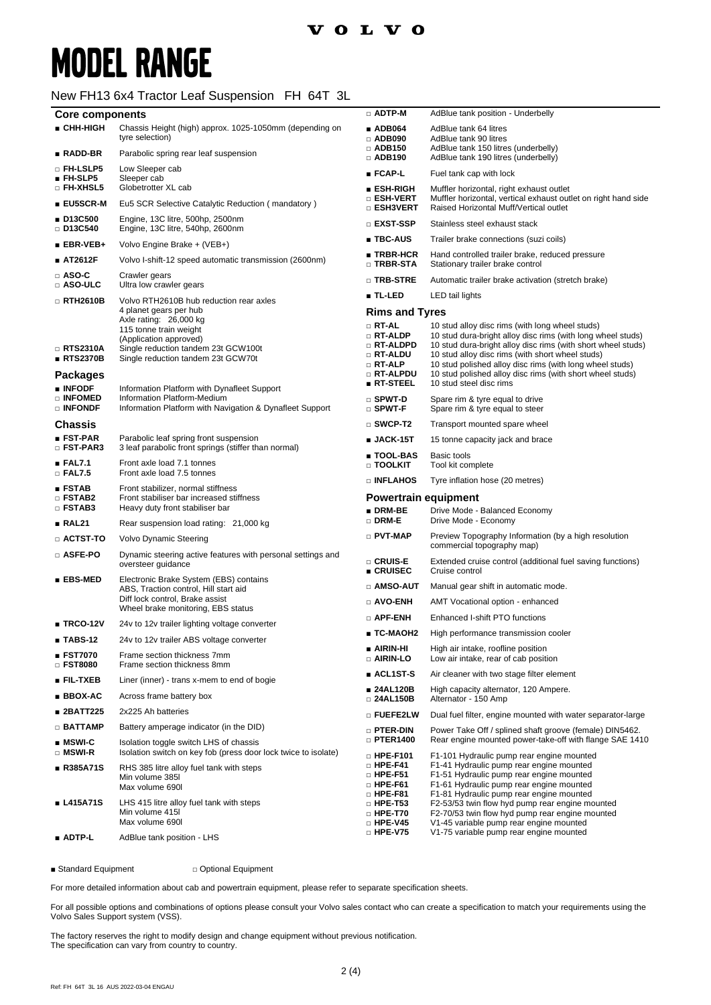### New FH13 6x4 Tractor Leaf Suspension FH 64T 3L

| <b>Core components</b>                                        |                                                                                                                                                                                   | $\Box$ ADTP-M                                                                                                | AdBlue tank position - Underbelly                                                                                                                                                                                                                                                                                                                           |
|---------------------------------------------------------------|-----------------------------------------------------------------------------------------------------------------------------------------------------------------------------------|--------------------------------------------------------------------------------------------------------------|-------------------------------------------------------------------------------------------------------------------------------------------------------------------------------------------------------------------------------------------------------------------------------------------------------------------------------------------------------------|
| ■ CHH-HIGH                                                    | Chassis Height (high) approx. 1025-1050mm (depending on<br>tyre selection)                                                                                                        | $\blacksquare$ ADB064<br>$\Box$ ADB090                                                                       | AdBlue tank 64 litres<br>AdBlue tank 90 litres                                                                                                                                                                                                                                                                                                              |
| $\blacksquare$ RADD-BR                                        | Parabolic spring rear leaf suspension                                                                                                                                             | $\Box$ ADB150<br>$\Box$ ADB190                                                                               | AdBlue tank 150 litres (underbelly)<br>AdBlue tank 190 litres (underbelly)                                                                                                                                                                                                                                                                                  |
| □ FH-LSLP5<br>$\blacksquare$ FH-SLP5                          | Low Sleeper cab<br>Sleeper cab                                                                                                                                                    | ∎ FCAP-L                                                                                                     | Fuel tank cap with lock                                                                                                                                                                                                                                                                                                                                     |
| <b>D</b> FH-XHSL5                                             | Globetrotter XL cab                                                                                                                                                               | ∎ ESH-RIGH<br>$\scriptstyle\Box$ esh-vert                                                                    | Muffler horizontal, right exhaust outlet<br>Muffler horizontal, vertical exhaust outlet on right hand side                                                                                                                                                                                                                                                  |
| $\blacksquare$ EU5SCR-M                                       | Eu5 SCR Selective Catalytic Reduction (mandatory)                                                                                                                                 | □ ESH3VERT                                                                                                   | Raised Horizontal Muff/Vertical outlet                                                                                                                                                                                                                                                                                                                      |
| ■ D13C500<br>$\Box$ D13C540                                   | Engine, 13C litre, 500hp, 2500nm<br>Engine, 13C litre, 540hp, 2600nm                                                                                                              | □ EXST-SSP                                                                                                   | Stainless steel exhaust stack                                                                                                                                                                                                                                                                                                                               |
| $EBR-VEB+$                                                    | Volvo Engine Brake + (VEB+)                                                                                                                                                       | ∎ TBC-AUS                                                                                                    | Trailer brake connections (suzi coils)                                                                                                                                                                                                                                                                                                                      |
| ■ AT2612F                                                     | Volvo I-shift-12 speed automatic transmission (2600nm)                                                                                                                            | $\blacksquare$ TRBR-HCR<br>$\square$ TRBR-STA                                                                | Hand controlled trailer brake, reduced pressure<br>Stationary trailer brake control                                                                                                                                                                                                                                                                         |
| $\Box$ ASO-C<br>□ ASO-ULC                                     | Crawler gears<br>Ultra low crawler gears                                                                                                                                          | □ TRB-STRE                                                                                                   | Automatic trailer brake activation (stretch brake)                                                                                                                                                                                                                                                                                                          |
| □ RTH2610B                                                    | Volvo RTH2610B hub reduction rear axles                                                                                                                                           | ■ TL-LED                                                                                                     | LED tail lights                                                                                                                                                                                                                                                                                                                                             |
| $\Box$ RTS2310A<br>$\blacksquare$ RTS2370B<br><b>Packages</b> | 4 planet gears per hub<br>Axle rating: 26,000 kg<br>115 tonne train weight<br>(Application approved)<br>Single reduction tandem 23t GCW100t<br>Single reduction tandem 23t GCW70t | <b>Rims and Tyres</b><br>□ RT-AL<br>$\Box$ RT-ALDP<br>□ RT-ALDPD<br>□ RT-ALDU<br>$\Box$ RT-ALP<br>□ RT-ALPDU | 10 stud alloy disc rims (with long wheel studs)<br>10 stud dura-bright alloy disc rims (with long wheel studs)<br>10 stud dura-bright alloy disc rims (with short wheel studs)<br>10 stud alloy disc rims (with short wheel studs)<br>10 stud polished alloy disc rims (with long wheel studs)<br>10 stud polished alloy disc rims (with short wheel studs) |
| ■ INFODF                                                      | Information Platform with Dynafleet Support                                                                                                                                       | $R$ T-STEEL                                                                                                  | 10 stud steel disc rims                                                                                                                                                                                                                                                                                                                                     |
| □ INFOMED<br>□ INFONDF                                        | Information Platform-Medium<br>Information Platform with Navigation & Dynafleet Support                                                                                           | $\square$ SPWT-D<br>□ SPWT-F                                                                                 | Spare rim & tyre equal to drive<br>Spare rim & tyre equal to steer                                                                                                                                                                                                                                                                                          |
| <b>Chassis</b>                                                |                                                                                                                                                                                   | $\square$ SWCP-T2                                                                                            | Transport mounted spare wheel                                                                                                                                                                                                                                                                                                                               |
| $\blacksquare$ FST-PAR<br>□ FST-PAR3                          | Parabolic leaf spring front suspension<br>3 leaf parabolic front springs (stiffer than normal)                                                                                    | $\blacksquare$ JACK-15T                                                                                      | 15 tonne capacity jack and brace                                                                                                                                                                                                                                                                                                                            |
| EAL7.1<br>$\Box$ FAL7.5                                       | Front axle load 7.1 tonnes<br>Front axle load 7.5 tonnes                                                                                                                          | ∎ TOOL-BAS<br>$\scriptstyle\Box$ TOOLKIT                                                                     | Basic tools<br>Tool kit complete                                                                                                                                                                                                                                                                                                                            |
| ■ FSTAB                                                       | Front stabilizer, normal stiffness                                                                                                                                                | □ INFLAHOS                                                                                                   | Tyre inflation hose (20 metres)                                                                                                                                                                                                                                                                                                                             |
| □ FSTAB2<br>$\square$ FSTAB3                                  | Front stabiliser bar increased stiffness<br>Heavy duty front stabiliser bar                                                                                                       | <b>Powertrain equipment</b><br>$\blacksquare$ DRM-BE<br>Drive Mode - Balanced Economy                        |                                                                                                                                                                                                                                                                                                                                                             |
| RAL21                                                         | Rear suspension load rating: 21,000 kg                                                                                                                                            | □ DRM-E                                                                                                      | Drive Mode - Economy                                                                                                                                                                                                                                                                                                                                        |
| $\Box$ ACTST-TO                                               | Volvo Dynamic Steering                                                                                                                                                            | $\Box$ PVT-MAP                                                                                               | Preview Topography Information (by a high resolution<br>commercial topography map)                                                                                                                                                                                                                                                                          |
| □ ASFE-PO                                                     | Dynamic steering active features with personal settings and<br>oversteer guidance                                                                                                 | □ CRUIS-E<br>$\blacksquare$ CRUISEC                                                                          | Extended cruise control (additional fuel saving functions)<br>Cruise control                                                                                                                                                                                                                                                                                |
| $EBS-MED$                                                     | Electronic Brake System (EBS) contains<br>ABS, Traction control, Hill start aid                                                                                                   | □ AMSO-AUT                                                                                                   | Manual gear shift in automatic mode.                                                                                                                                                                                                                                                                                                                        |
|                                                               | Diff lock control, Brake assist                                                                                                                                                   | $\Box$ AVO-ENH                                                                                               | AMT Vocational option - enhanced                                                                                                                                                                                                                                                                                                                            |
|                                                               | Wheel brake monitoring, EBS status                                                                                                                                                | □ APF-ENH                                                                                                    | Enhanced I-shift PTO functions                                                                                                                                                                                                                                                                                                                              |
| $\blacksquare$ TRCO-12V                                       | 24v to 12v trailer lighting voltage converter                                                                                                                                     | ∎ TC-MAOH2                                                                                                   | High performance transmission cooler                                                                                                                                                                                                                                                                                                                        |
| $\blacksquare$ TABS-12<br>■ FST7070                           | 24v to 12v trailer ABS voltage converter<br>Frame section thickness 7mm                                                                                                           | ∎ AIRIN-HI<br>□ AIRIN-LO                                                                                     | High air intake, roofline position<br>Low air intake, rear of cab position                                                                                                                                                                                                                                                                                  |
| □ FST8080                                                     | Frame section thickness 8mm                                                                                                                                                       | ACL1ST-S                                                                                                     | Air cleaner with two stage filter element                                                                                                                                                                                                                                                                                                                   |
| $\blacksquare$ Fil-txeb                                       | Liner (inner) - trans x-mem to end of bogie                                                                                                                                       | ■ 24AL120B                                                                                                   | High capacity alternator, 120 Ampere.                                                                                                                                                                                                                                                                                                                       |
| ■ BBOX-AC                                                     | Across frame battery box                                                                                                                                                          | □ 24AL150B                                                                                                   | Alternator - 150 Amp                                                                                                                                                                                                                                                                                                                                        |
| ■ 2BATT225                                                    | 2x225 Ah batteries                                                                                                                                                                | o fuefe2lw                                                                                                   | Dual fuel filter, engine mounted with water separator-large                                                                                                                                                                                                                                                                                                 |
| $\Box$ BATTAMP                                                | Battery amperage indicator (in the DID)                                                                                                                                           | <b>D</b> PTER-DIN                                                                                            | Power Take Off / splined shaft groove (female) DIN5462.                                                                                                                                                                                                                                                                                                     |
| $\blacksquare$ MSWI-C<br>□ MSWI-R                             | Isolation toggle switch LHS of chassis<br>Isolation switch on key fob (press door lock twice to isolate)                                                                          | $\Box$ PTER1400<br>$\square$ HPE-F101                                                                        | Rear engine mounted power-take-off with flange SAE 1410<br>F1-101 Hydraulic pump rear engine mounted                                                                                                                                                                                                                                                        |
| ∎ R385A71S                                                    | RHS 385 litre alloy fuel tank with steps<br>Min volume 385I<br>Max volume 690I                                                                                                    | $\square$ HPE-F41<br>$\Box$ HPE-F51<br>$\square$ HPE-F61<br>$\square$ HPE-F81                                | F1-41 Hydraulic pump rear engine mounted<br>F1-51 Hydraulic pump rear engine mounted<br>F1-61 Hydraulic pump rear engine mounted<br>F1-81 Hydraulic pump rear engine mounted                                                                                                                                                                                |
| ∎ L415A71S                                                    | LHS 415 litre alloy fuel tank with steps<br>Min volume 415<br>Max volume 690l                                                                                                     | $\Box$ HPE-T53<br>$\square$ HPE-T70<br>$\square$ HPE-V45<br>$\Box$ HPE-V75                                   | F2-53/53 twin flow hyd pump rear engine mounted<br>F2-70/53 twin flow hyd pump rear engine mounted<br>V1-45 variable pump rear engine mounted<br>V1-75 variable pump rear engine mounted                                                                                                                                                                    |
| ■ ADTP-L                                                      | AdBlue tank position - LHS                                                                                                                                                        |                                                                                                              |                                                                                                                                                                                                                                                                                                                                                             |

■ Standard Equipment □ □ Optional Equipment

For more detailed information about cab and powertrain equipment, please refer to separate specification sheets.

For all possible options and combinations of options please consult your Volvo sales contact who can create a specification to match your requirements using the Volvo Sales Support system (VSS).

The factory reserves the right to modify design and change equipment without previous notification. The specification can vary from country to country.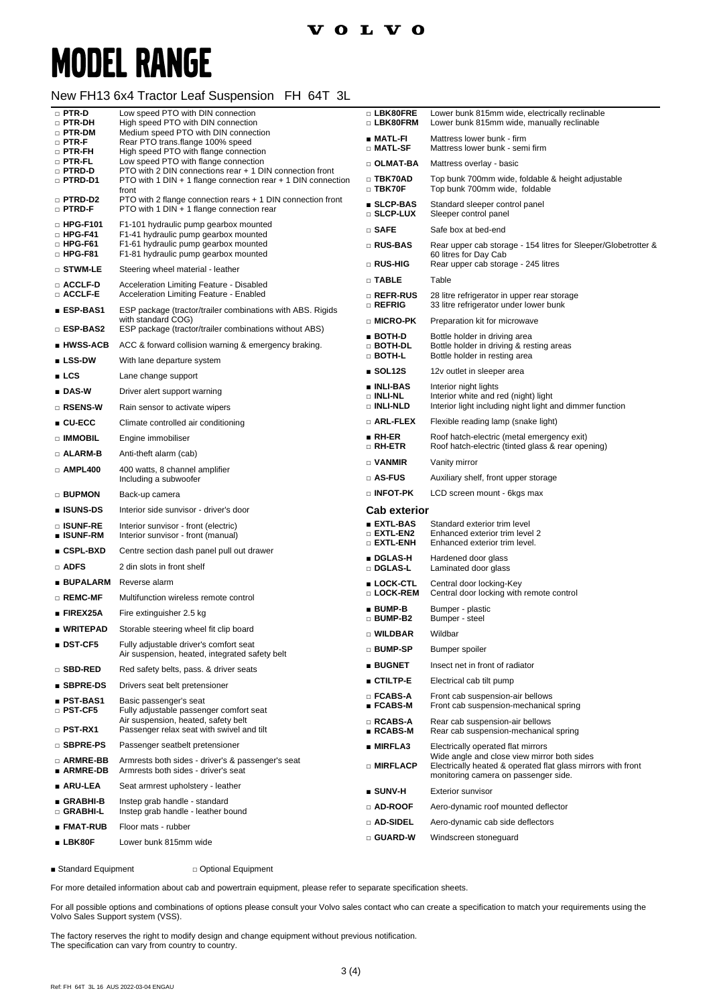### New FH13 6x4 Tractor Leaf Suspension FH 64T 3L

| $\Box$ PTR-D<br>□ PTR-DH             | Low speed PTO with DIN connection<br>High speed PTO with DIN connection                                                               | □ LBK80FRE<br>□ LBK80FRM                    | Lower bunk 815mm wide, electrically reclinable<br>Lower bunk 815mm wide, manually reclinable                                                        |
|--------------------------------------|---------------------------------------------------------------------------------------------------------------------------------------|---------------------------------------------|-----------------------------------------------------------------------------------------------------------------------------------------------------|
| □ PTR-DM<br>$\Box$ PTR-F             | Medium speed PTO with DIN connection<br>Rear PTO trans.flange 100% speed                                                              | ∎ MATL-FI<br>□ MATL-SF                      | Mattress lower bunk - firm<br>Mattress lower bunk - semi firm                                                                                       |
| $\Box$ PTR-FH<br>□ PTR-FL            | High speed PTO with flange connection<br>Low speed PTO with flange connection                                                         | $\Box$ OLMAT-BA                             | Mattress overlay - basic                                                                                                                            |
| □ PTRD-D<br><b>D</b> PTRD-D1         | PTO with 2 DIN connections rear + 1 DIN connection front<br>PTO with 1 DIN $+$ 1 flange connection rear $+$ 1 DIN connection<br>front | □ TBK70AD<br>$\Box$ TBK70F                  | Top bunk 700mm wide, foldable & height adjustable<br>Top bunk 700mm wide, foldable                                                                  |
| □ PTRD-D2<br>$\square$ PTRD-F        | PTO with 2 flange connection rears + 1 DIN connection front<br>PTO with 1 DIN + 1 flange connection rear                              | <b>SLCP-BAS</b><br>$\square$ SLCP-LUX       | Standard sleeper control panel<br>Sleeper control panel                                                                                             |
| $\Box$ HPG-F101<br>$\square$ HPG-F41 | F1-101 hydraulic pump gearbox mounted<br>F1-41 hydraulic pump gearbox mounted                                                         | $\square$ SAFE                              | Safe box at bed-end                                                                                                                                 |
| $\square$ HPG-F61<br>$\Box$ HPG-F81  | F1-61 hydraulic pump gearbox mounted<br>F1-81 hydraulic pump gearbox mounted                                                          | $\square$ RUS-BAS                           | Rear upper cab storage - 154 litres for Sleeper/Globetrotter &<br>60 litres for Day Cab                                                             |
| □ STWM-LE                            | Steering wheel material - leather                                                                                                     | □ RUS-HIG                                   | Rear upper cab storage - 245 litres                                                                                                                 |
| □ ACCLF-D                            | Acceleration Limiting Feature - Disabled                                                                                              | $\Box$ TABLE                                | Table                                                                                                                                               |
| □ ACCLF-E<br>■ ESP-BAS1              | Acceleration Limiting Feature - Enabled<br>ESP package (tractor/trailer combinations with ABS. Rigids                                 | □ REFR-RUS<br>$\square$ Refrig              | 28 litre refrigerator in upper rear storage<br>33 litre refrigerator under lower bunk                                                               |
| □ ESP-BAS2                           | with standard COG)<br>ESP package (tractor/trailer combinations without ABS)                                                          | □ MICRO-PK                                  | Preparation kit for microwave                                                                                                                       |
| ∎ HWSS-ACB                           | ACC & forward collision warning & emergency braking.                                                                                  | ∎ BOTH-D<br>$\Box$ both-dl                  | Bottle holder in driving area<br>Bottle holder in driving & resting areas                                                                           |
| $\blacksquare$ LSS-DW                | With lane departure system                                                                                                            | □ BOTH-L                                    | Bottle holder in resting area                                                                                                                       |
| LCS                                  | Lane change support                                                                                                                   | $\blacksquare$ SOL12S                       | 12v outlet in sleeper area                                                                                                                          |
| $\blacksquare$ DAS-W                 | Driver alert support warning                                                                                                          | ∎ INLI-BAS<br>$\Box$ INLI-NL                | Interior night lights<br>Interior white and red (night) light                                                                                       |
| □ RSENS-W                            | Rain sensor to activate wipers                                                                                                        | □ INLI-NLD                                  | Interior light including night light and dimmer function                                                                                            |
| $\blacksquare$ CU-ECC                | Climate controlled air conditioning                                                                                                   | $\square$ Arl-flex                          | Flexible reading lamp (snake light)                                                                                                                 |
| □ IMMOBIL                            | Engine immobiliser                                                                                                                    | $\blacksquare$ RH-ER<br>□ RH-ETR            | Roof hatch-electric (metal emergency exit)<br>Roof hatch-electric (tinted glass & rear opening)                                                     |
| □ ALARM-B                            | Anti-theft alarm (cab)                                                                                                                | $\Box$ VANMIR                               | Vanity mirror                                                                                                                                       |
| $\Box$ AMPL400                       | 400 watts, 8 channel amplifier<br>Including a subwoofer                                                                               | □ AS-FUS                                    | Auxiliary shelf, front upper storage                                                                                                                |
| □ BUPMON                             | Back-up camera                                                                                                                        | $\square$ INFOT-PK                          | LCD screen mount - 6kgs max                                                                                                                         |
| ∎ ISUNS-DS                           | Interior side sunvisor - driver's door                                                                                                | <b>Cab exterior</b>                         |                                                                                                                                                     |
| □ ISUNF-RE<br>∎ ISUNF-RM             | Interior sunvisor - front (electric)<br>Interior sunvisor - front (manual)                                                            | ■ EXTL-BAS<br>$\square$ extl-en2            | Standard exterior trim level<br>Enhanced exterior trim level 2                                                                                      |
| ∎ CSPL-BXD                           | Centre section dash panel pull out drawer                                                                                             | $\square$ extl-enh                          | Enhanced exterior trim level.                                                                                                                       |
| <b>D</b> ADFS                        | 2 din slots in front shelf                                                                                                            | ■ DGLAS-H<br>□ DGLAS-L                      | Hardened door glass<br>Laminated door glass                                                                                                         |
| ∎ BUPALARM                           | Reverse alarm                                                                                                                         | ■ LOCK-CTL                                  | Central door locking-Key                                                                                                                            |
| □ REMC-MF                            | Multifunction wireless remote control                                                                                                 | □ LOCK-REM                                  | Central door locking with remote control                                                                                                            |
| $\blacksquare$ FIREX25A              | Fire extinguisher 2.5 kg                                                                                                              | $\blacksquare$ BUMP-B<br>□ BUMP-B2          | Bumper - plastic<br>Bumper - steel                                                                                                                  |
| ∎ WRITEPAD                           | Storable steering wheel fit clip board                                                                                                | □ WILDBAR                                   | Wildbar                                                                                                                                             |
| $\blacksquare$ DST-CF5               | Fully adjustable driver's comfort seat<br>Air suspension, heated, integrated safety belt                                              | □ BUMP-SP                                   | Bumper spoiler                                                                                                                                      |
| □ SBD-RED                            | Red safety belts, pass. & driver seats                                                                                                | <b>BUGNET</b>                               | Insect net in front of radiator                                                                                                                     |
| ■ SBPRE-DS                           | Drivers seat belt pretensioner                                                                                                        | $CTLTP-E$                                   | Electrical cab tilt pump                                                                                                                            |
| ∎ PST-BAS1<br>$\Box$ PST-CF5         | Basic passenger's seat<br>Fully adjustable passenger comfort seat                                                                     | $\square$ FCABS-A<br>$\blacksquare$ FCABS-M | Front cab suspension-air bellows<br>Front cab suspension-mechanical spring                                                                          |
| $\square$ PST-RX1                    | Air suspension, heated, safety belt                                                                                                   | $\square$ RCABS-A<br>$RCABS-M$              | Rear cab suspension-air bellows                                                                                                                     |
| □ SBPRE-PS                           | Passenger relax seat with swivel and tilt                                                                                             |                                             | Rear cab suspension-mechanical spring                                                                                                               |
|                                      | Passenger seatbelt pretensioner                                                                                                       | ■ MIRFLA3                                   | Electrically operated flat mirrors                                                                                                                  |
| □ ARMRE-BB<br>∎ ARMRE-DB             | Armrests both sides - driver's & passenger's seat<br>Armrests both sides - driver's seat                                              | □ MIRFLACP                                  | Wide angle and close view mirror both sides<br>Electrically heated & operated flat glass mirrors with front<br>monitoring camera on passenger side. |
| ∎ ARU-LEA                            | Seat armrest upholstery - leather                                                                                                     | $\blacksquare$ SUNV-H                       | <b>Exterior sunvisor</b>                                                                                                                            |
| ∎ GRABHI-B                           | Instep grab handle - standard                                                                                                         | □ AD-ROOF                                   | Aero-dynamic roof mounted deflector                                                                                                                 |
| □ GRABHI-L                           | Instep grab handle - leather bound                                                                                                    | $\Box$ ad-sidel                             | Aero-dynamic cab side deflectors                                                                                                                    |
| ∎ FMAT-RUB<br>$\blacksquare$ LBK80F  | Floor mats - rubber<br>Lower bunk 815mm wide                                                                                          | □ GUARD-W                                   | Windscreen stoneguard                                                                                                                               |

■ Standard Equipment □ Optional Equipment

For more detailed information about cab and powertrain equipment, please refer to separate specification sheets.

For all possible options and combinations of options please consult your Volvo sales contact who can create a specification to match your requirements using the Volvo Sales Support system (VSS).

The factory reserves the right to modify design and change equipment without previous notification. The specification can vary from country to country.